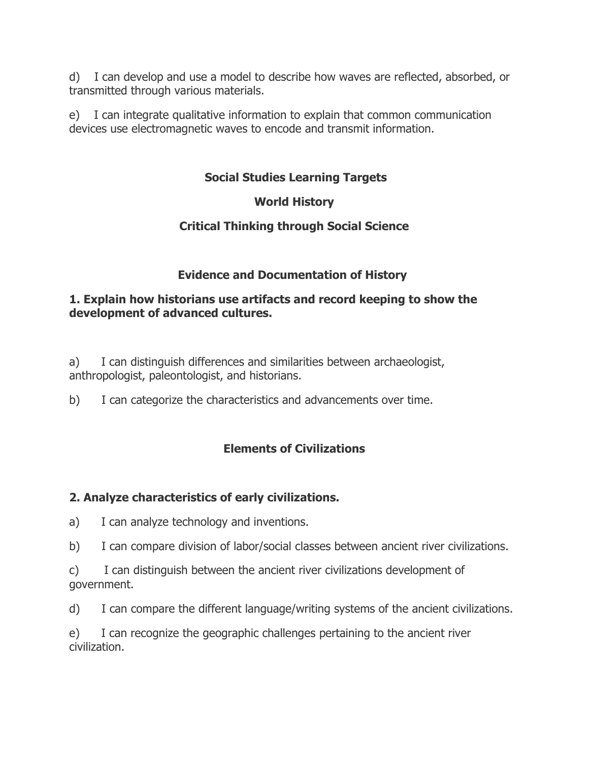d) I can develop and use a model to describe how waves are reflected, absorbed, or transmitted through various materials.

e) I can integrate qualitative information to explain that common communication devices use electromagnetic waves to encode and transmit information.

## **Social Studies Learning Targets**

#### **World History**

## **Critical Thinking through Social Science**

## **Evidence and Documentation of History**

#### **1. Explain how historians use artifacts and record keeping to show the development of advanced cultures.**

a) I can distinguish differences and similarities between archaeologist, anthropologist, paleontologist, and historians.

b) I can categorize the characteristics and advancements over time.

# **Elements of Civilizations**

#### **2. Analyze characteristics of early civilizations.**

- a) I can analyze technology and inventions.
- b) I can compare division of labor/social classes between ancient river civilizations.
- c) I can distinguish between the ancient river civilizations development of government.
- d) I can compare the different language/writing systems of the ancient civilizations.

e) I can recognize the geographic challenges pertaining to the ancient river civilization.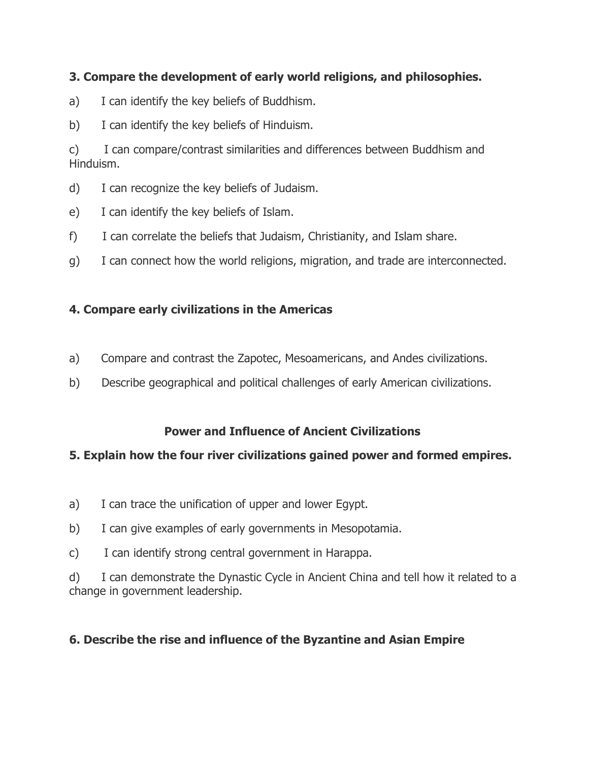## **3. Compare the development of early world religions, and philosophies.**

- a) I can identify the key beliefs of Buddhism.
- b) I can identify the key beliefs of Hinduism.

c) I can compare/contrast similarities and differences between Buddhism and Hinduism.

- d) I can recognize the key beliefs of Judaism.
- e) I can identify the key beliefs of Islam.
- f) I can correlate the beliefs that Judaism, Christianity, and Islam share.
- g) I can connect how the world religions, migration, and trade are interconnected.

# **4. Compare early civilizations in the Americas**

- a) Compare and contrast the Zapotec, Mesoamericans, and Andes civilizations.
- b) Describe geographical and political challenges of early American civilizations.

## **Power and Influence of Ancient Civilizations**

## **5. Explain how the four river civilizations gained power and formed empires.**

- a) I can trace the unification of upper and lower Egypt.
- b) I can give examples of early governments in Mesopotamia.
- c) I can identify strong central government in Harappa.

d) I can demonstrate the Dynastic Cycle in Ancient China and tell how it related to a change in government leadership.

# **6. Describe the rise and influence of the Byzantine and Asian Empire**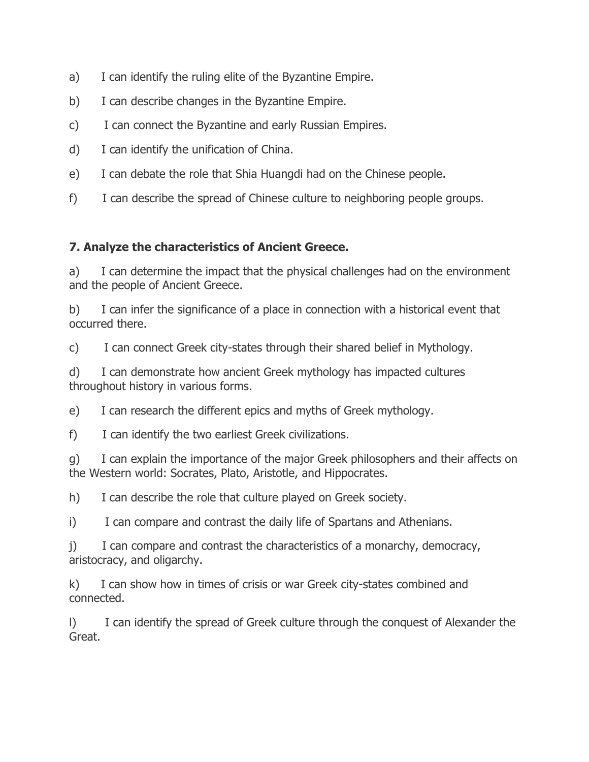- a) I can identify the ruling elite of the Byzantine Empire.
- b) I can describe changes in the Byzantine Empire.
- c) I can connect the Byzantine and early Russian Empires.
- d) I can identify the unification of China.
- e) I can debate the role that Shia Huangdi had on the Chinese people.
- f) I can describe the spread of Chinese culture to neighboring people groups.

#### **7. Analyze the characteristics of Ancient Greece.**

a) I can determine the impact that the physical challenges had on the environment and the people of Ancient Greece.

b) I can infer the significance of a place in connection with a historical event that occurred there.

c) I can connect Greek city-states through their shared belief in Mythology.

d) I can demonstrate how ancient Greek mythology has impacted cultures throughout history in various forms.

e) I can research the different epics and myths of Greek mythology.

f) I can identify the two earliest Greek civilizations.

g) I can explain the importance of the major Greek philosophers and their affects on the Western world: Socrates, Plato, Aristotle, and Hippocrates.

h) I can describe the role that culture played on Greek society.

i) I can compare and contrast the daily life of Spartans and Athenians.

j) I can compare and contrast the characteristics of a monarchy, democracy, aristocracy, and oligarchy.

k) I can show how in times of crisis or war Greek city-states combined and connected.

I) I can identify the spread of Greek culture through the conquest of Alexander the Great.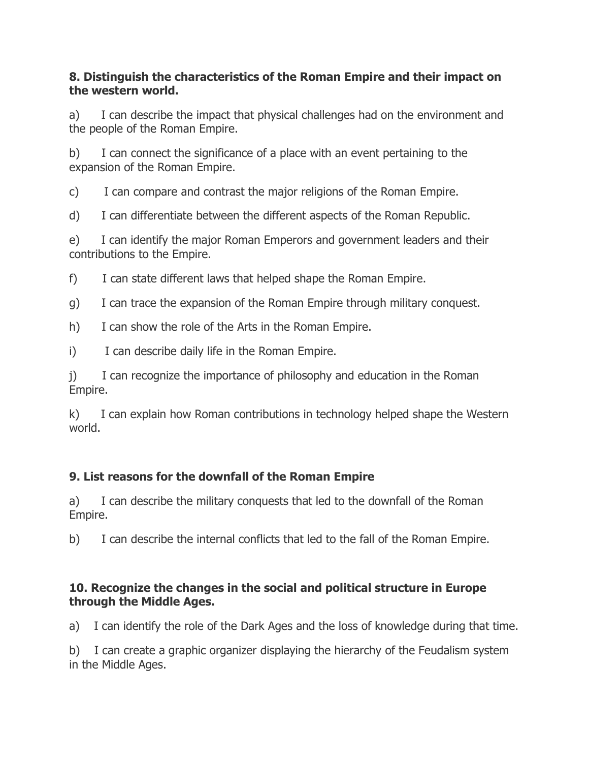#### **8. Distinguish the characteristics of the Roman Empire and their impact on the western world.**

a) I can describe the impact that physical challenges had on the environment and the people of the Roman Empire.

b) I can connect the significance of a place with an event pertaining to the expansion of the Roman Empire.

c) I can compare and contrast the major religions of the Roman Empire.

d) I can differentiate between the different aspects of the Roman Republic.

e) I can identify the major Roman Emperors and government leaders and their contributions to the Empire.

f) I can state different laws that helped shape the Roman Empire.

g) I can trace the expansion of the Roman Empire through military conquest.

h) I can show the role of the Arts in the Roman Empire.

i) I can describe daily life in the Roman Empire.

j) I can recognize the importance of philosophy and education in the Roman Empire.

k) I can explain how Roman contributions in technology helped shape the Western world.

# **9. List reasons for the downfall of the Roman Empire**

a) I can describe the military conquests that led to the downfall of the Roman Empire.

b) I can describe the internal conflicts that led to the fall of the Roman Empire.

## **10. Recognize the changes in the social and political structure in Europe through the Middle Ages.**

a) I can identify the role of the Dark Ages and the loss of knowledge during that time.

b) I can create a graphic organizer displaying the hierarchy of the Feudalism system in the Middle Ages.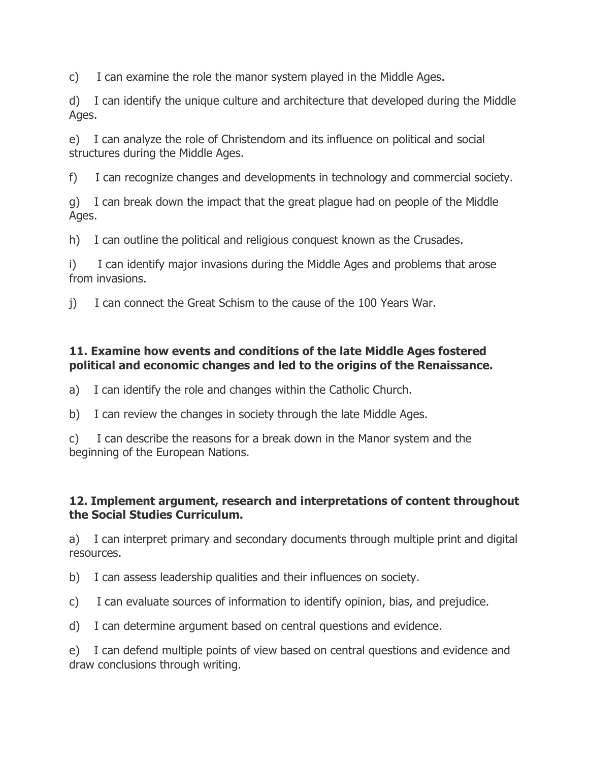c) I can examine the role the manor system played in the Middle Ages.

d) I can identify the unique culture and architecture that developed during the Middle Ages.

e) I can analyze the role of Christendom and its influence on political and social structures during the Middle Ages.

f) I can recognize changes and developments in technology and commercial society.

g) I can break down the impact that the great plague had on people of the Middle Ages.

h) I can outline the political and religious conquest known as the Crusades.

i) I can identify major invasions during the Middle Ages and problems that arose from invasions.

j) I can connect the Great Schism to the cause of the 100 Years War.

## **11. Examine how events and conditions of the late Middle Ages fostered political and economic changes and led to the origins of the Renaissance.**

a) I can identify the role and changes within the Catholic Church.

b) I can review the changes in society through the late Middle Ages.

c) I can describe the reasons for a break down in the Manor system and the beginning of the European Nations.

## **12. Implement argument, research and interpretations of content throughout the Social Studies Curriculum.**

a) I can interpret primary and secondary documents through multiple print and digital resources.

b) I can assess leadership qualities and their influences on society.

c) I can evaluate sources of information to identify opinion, bias, and prejudice.

d) I can determine argument based on central questions and evidence.

e) I can defend multiple points of view based on central questions and evidence and draw conclusions through writing.